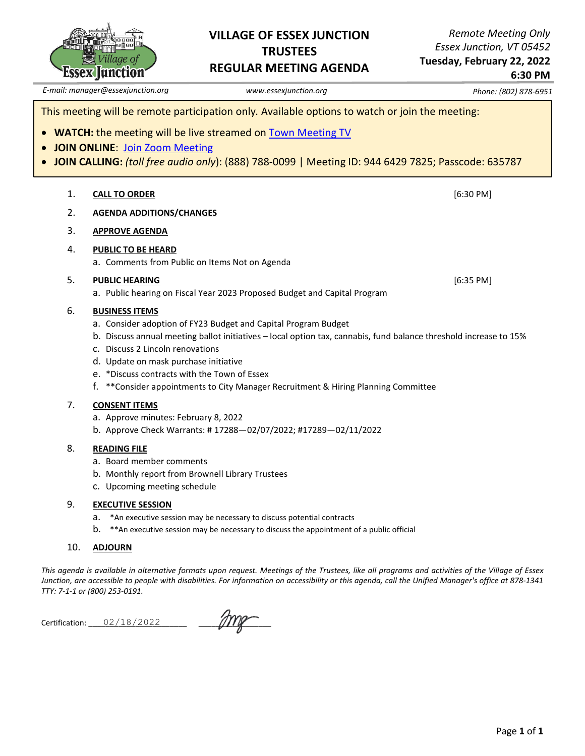

## **VILLAGE OF ESSEX JUNCTION TRUSTEES REGULAR MEETING AGENDA**

*Remote Meeting Only Essex Junction, VT 05452*

**Tuesday, February 22, 2022 6:30 PM**

*E-mail: manager@essexjunction.org www.essexjunction.org Phone: (802) 878-6951*

This meeting will be remote participation only*.* Available options to watch or join the meeting:

- **WATCH:** the meeting will be live streamed on [Town Meeting TV](https://www.youtube.com/playlist?app=desktop&list=PLljLFn4BZd2NDBcfrHVdIR7eUeko7haxg)
- **JOIN ONLINE**: [Join Zoom Meeting](https://zoom.us/j/94464297825?pwd=T0RTL0VteHZXNHlteTJpQi83WUg4QT09)
- **JOIN CALLING:** *(toll free audio only*): (888) 788-0099 | Meeting ID: 944 6429 7825; Passcode: 635787
	- 1. **CALL TO ORDER** [6:30 PM]
	- 2. **AGENDA ADDITIONS/CHANGES**
	- 3. **APPROVE AGENDA**
	- 4. **PUBLIC TO BE HEARD**
		- a. Comments from Public on Items Not on Agenda

### 5. **PUBLIC HEARING** [6:35 PM]

a. Public hearing on Fiscal Year 2023 Proposed Budget and Capital Program

### 6. **BUSINESS ITEMS**

- a. Consider adoption of FY23 Budget and Capital Program Budget
- b. Discuss annual meeting ballot initiatives local option tax, cannabis, fund balance threshold increase to 15%
- c. Discuss 2 Lincoln renovations
- d. Update on mask purchase initiative
- e. \*Discuss contracts with the Town of Essex
- f. \*\*Consider appointments to City Manager Recruitment & Hiring Planning Committee

#### 7. **CONSENT ITEMS**

- a. Approve minutes: February 8, 2022
- b. Approve Check Warrants: # 17288—02/07/2022; #17289—02/11/2022

#### 8. **READING FILE**

- a. Board member comments
- b. Monthly report from Brownell Library Trustees
- c. Upcoming meeting schedule

#### 9. **EXECUTIVE SESSION**

- a. \*An executive session may be necessary to discuss potential contracts
- b. \*\*An executive session may be necessary to discuss the appointment of a public official

### 10. **ADJOURN**

*This agenda is available in alternative formats upon request. Meetings of the Trustees, like all programs and activities of the Village of Essex Junction, are accessible to people with disabilities. For information on accessibility or this agenda, call the Unified Manager's office at 878-1341 TTY: 7-1-1 or (800) 253-0191.*

Certification: \_\_\_\_\_\_\_\_\_\_\_\_\_\_\_\_\_\_\_\_\_\_\_ \_\_\_\_\_\_\_\_\_\_\_\_\_\_\_\_\_ 02/18/2022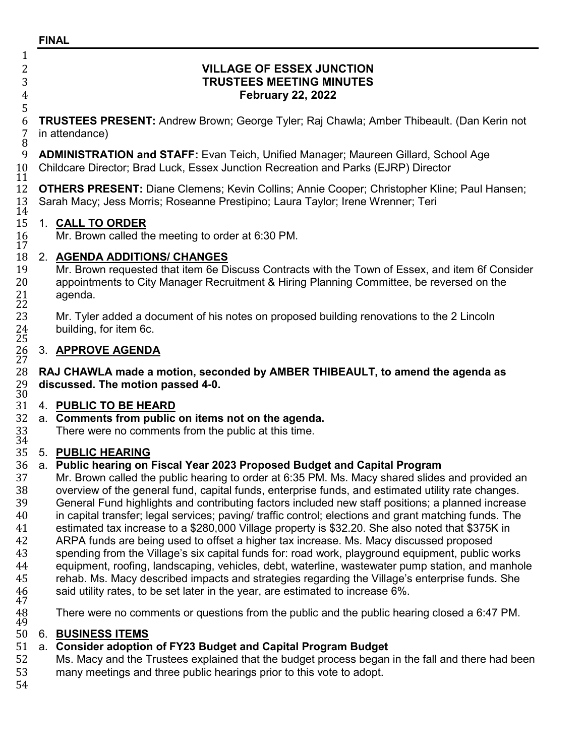## **FINAL**

 $\frac{1}{2}$ 

5

2 **VILLAGE OF ESSEX JUNCTION** 3 **TRUSTEES MEETING MINUTES** 4 **February 22, 2022**

6 **TRUSTEES PRESENT:** Andrew Brown; George Tyler; Raj Chawla; Amber Thibeault. (Dan Kerin not 7 in attendance)<br>8<br>9 **ADMINISTRA** 

9 **ADMINISTRATION and STAFF:** Evan Teich, Unified Manager; Maureen Gillard, School Age<br>10 Childcare Director; Brad Luck, Essex Junction Recreation and Parks (EJRP) Director 10 Childcare Director; Brad Luck, Essex Junction Recreation and Parks (EJRP) Director<br>11<br>12 OTHERS PRESENT: Diane Clemens: Kevin Collins: Annie Cooper: Christopher Kline

12 **OTHERS PRESENT:** Diane Clemens; Kevin Collins; Annie Cooper; Christopher Kline; Paul Hansen;<br>13 Sarah Macy: Jess Morris: Roseanne Prestipino: Laura Taylor: Irene Wrenner: Teri Sarah Macy; Jess Morris; Roseanne Prestipino; Laura Taylor; Irene Wrenner; Teri

## $\frac{1\bar{4}}{15}$ 15 1. **CALL TO ORDER**

Mr. Brown called the meeting to order at 6:30 PM.

## 17<br>18 18 2. **AGENDA ADDITIONS/ CHANGES**

19 Mr. Brown requested that item 6e Discuss Contracts with the Town of Essex, and item 6f Consider<br>20 appointments to City Manager Recruitment & Hiring Planning Committee, be reversed on the 20 appointments to City Manager Recruitment & Hiring Planning Committee, be reversed on the 21 agenda. 21 agenda.<br>22<br>23 Mr. Tylei

Mr. Tyler added a document of his notes on proposed building renovations to the 2 Lincoln building, for item 6c.

## $^{24}_{25}$ 26 3. **APPROVE AGENDA**

26<br>27<br>28 28 **RAJ CHAWLA made a motion, seconded by AMBER THIBEAULT, to amend the agenda as**  29 **discussed. The motion passed 4-0.**

## 30<br>31 31 4. **PUBLIC TO BE HEARD**

32 a. **Comments from public on items not on the agenda.**

There were no comments from the public at this time.

# 33<br>34<br>35 35 5. **PUBLIC HEARING**

# 36 a. **Public hearing on Fiscal Year 2023 Proposed Budget and Capital Program**

37 Mr. Brown called the public hearing to order at 6:35 PM. Ms. Macy shared slides and provided an 38 overview of the general fund, capital funds, enterprise funds, and estimated utility rate changes. 38 overview of the general fund, capital funds, enterprise funds, and estimated utility rate changes.<br>39 General Fund highlights and contributing factors included new staff positions: a planned increas 39 General Fund highlights and contributing factors included new staff positions; a planned increase<br>40 in capital transfer; legal services; paving/ traffic control; elections and grant matching funds. The 40 in capital transfer; legal services; paving/ traffic control; elections and grant matching funds. The 41 increase to a \$280,000 Village property is \$32.20. She also noted that \$375K in 41 estimated tax increase to a \$280,000 Village property is \$32.20. She also noted that \$375K in ARPA funds are being used to offset a higher tax increase. Ms. Macy discussed proposed<br>43 Spending from the Village's six capital funds for: road work, playground equipment, public 43 spending from the Village's six capital funds for: road work, playground equipment, public works<br>44 equipment, roofing, landscaping, vehicles, debt, waterline, wastewater pump station, and manho 44 equipment, roofing, landscaping, vehicles, debt, waterline, wastewater pump station, and manhole<br>45 enterab. Ms. Macy described impacts and strategies regarding the Village's enterprise funds. She

- 45 rehab. Ms. Macy described impacts and strategies regarding the Village's enterprise funds. She<br>46 said utility rates, to be set later in the year, are estimated to increase 6%.
- said utility rates, to be set later in the year, are estimated to increase 6%.<br>47<br>48 There were no comments or questions from the public and the public hea
- There were no comments or questions from the public and the public hearing closed a 6:47 PM.

## 49<br>50 50 6. **BUSINESS ITEMS**

# 51 a. **Consider adoption of FY23 Budget and Capital Program Budget**

52 Ms. Macy and the Trustees explained that the budget process began in the fall and there had been<br>53 many meetings and three public hearings prior to this vote to adopt. many meetings and three public hearings prior to this vote to adopt.

54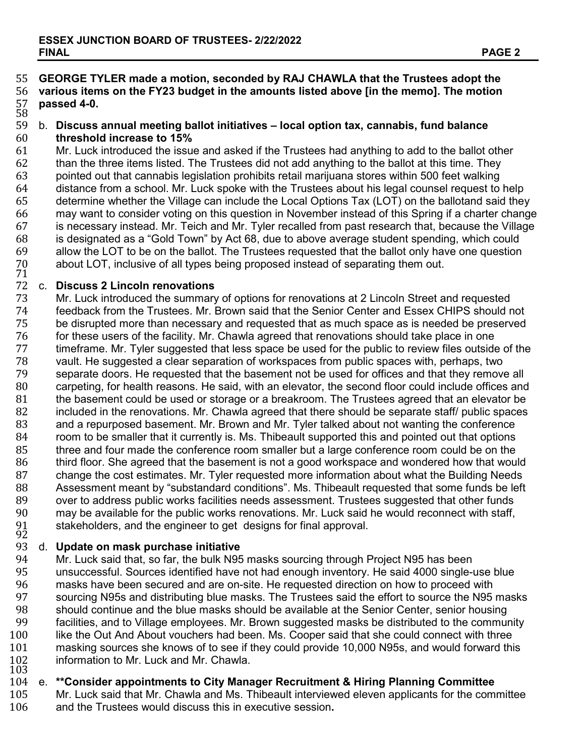## 55 **GEORGE TYLER made a motion, seconded by RAJ CHAWLA that the Trustees adopt the**  56 **various items on the FY23 budget in the amounts listed above [in the memo]. The motion**  57 **passed 4-0.**

## 58<br>59 59 b. **Discuss annual meeting ballot initiatives – local option tax, cannabis, fund balance**

60 **threshold increase to 15%** 61 Mr. Luck introduced the issue and asked if the Trustees had anything to add to the ballot other 62 than the three items listed. The Trustees did not add anything to the ballot at this time. They 62 than the three items listed. The Trustees did not add anything to the ballot at this time. They<br>63 object hat cannabis legislation prohibits retail marijuana stores within 500 feet walking 63 pointed out that cannabis legislation prohibits retail marijuana stores within 500 feet walking 64 distance from a school. Mr. Luck spoke with the Trustees about his legal counsel request to help<br>65 determine whether the Village can include the Local Options Tax (LOT) on the ballotand said they 65 determine whether the Village can include the Local Options Tax (LOT) on the ballotand said they<br>66 may want to consider voting on this question in November instead of this Spring if a charter change 66 may want to consider voting on this question in November instead of this Spring if a charter change 67 is necessary instead. Mr. Teich and Mr. Tyler recalled from past research that, because the Village 68 is designated as a "Gold Town" by Act 68, due to above average student spending, which could 69 allow the LOT to be on the ballot. The Trustees requested that the ballot only have one question<br>70 about LOT, inclusive of all types being proposed instead of separating them out. 70 about LOT, inclusive of all types being proposed instead of separating them out.<br>71<br>72 c. Discuss 2 Lincoln renovations

72 c. **Discuss 2 Lincoln renovations** 73 Mr. Luck introduced the summary of options for renovations at 2 Lincoln Street and requested<br>74 feedback from the Trustees. Mr. Brown said that the Senior Center and Essex CHIPS should r The Trustees. Mr. Brown said that the Senior Center and Essex CHIPS should not<br>The disrupted more than necessary and requested that as much space as is needed be preserved 75 be disrupted more than necessary and requested that as much space as is needed be preserved<br>76 for these users of the facility. Mr. Chawla agreed that renovations should take place in one 76 for these users of the facility. Mr. Chawla agreed that renovations should take place in one<br>77 time frame Mr. Tyler suggested that less space be used for the public to review files outside 77 timeframe. Mr. Tyler suggested that less space be used for the public to review files outside of the<br>78 vault. He suggested a clear separation of workspaces from public spaces with, perhaps, two 78 vault. He suggested a clear separation of workspaces from public spaces with, perhaps, two 79 separate doors. He requested that the basement not be used for offices and that they remove all<br>80 carpeting, for health reasons. He said, with an elevator, the second floor could include offices and 80 carpeting, for health reasons. He said, with an elevator, the second floor could include offices and 81 the basement could be used or storage or a breakroom. The Trustees agreed that an elevator be 81 the basement could be used or storage or a breakroom. The Trustees agreed that an elevator be<br>82 included in the renovations. Mr. Chawla agreed that there should be separate staff/ public spaces 82 included in the renovations. Mr. Chawla agreed that there should be separate staff/ public spaces<br>83 and a repurposed basement. Mr. Brown and Mr. Tyler talked about not wanting the conference 83 and a repurposed basement. Mr. Brown and Mr. Tyler talked about not wanting the conference<br>84 or com to be smaller that it currently is. Ms. Thibeault supported this and pointed out that options 84 room to be smaller that it currently is. Ms. Thibeault supported this and pointed out that options<br>85 three and four made the conference room smaller but a large conference room could be on the 85 three and four made the conference room smaller but a large conference room could be on the 86 the 1866 the<br>86 third floor. She agreed that the basement is not a good workspace and wondered how that wou 86 third floor. She agreed that the basement is not a good workspace and wondered how that would<br>87 thange the cost estimates. Mr. Tyler requested more information about what the Building Needs 87 change the cost estimates. Mr. Tyler requested more information about what the Building Needs<br>88 Assessment meant by "substandard conditions". Ms. Thibeault requested that some funds be left 88 Assessment meant by "substandard conditions". Ms. Thibeault requested that some funds be left<br>89 over to address public works facilities needs assessment. Trustees suggested that other funds 89 over to address public works facilities needs assessment. Trustees suggested that other funds<br>90 may be available for the public works renovations. Mr. Luck said he would reconnect with staff. 90 may be available for the public works renovations. Mr. Luck said he would reconnect with staff,<br>91 stakeholders, and the engineer to get designs for final approval. 91 stakeholders, and the engineer to get designs for final approval.<br>92 d. Update on mask purchase initiative

# 93 d. **Update on mask purchase initiative**

94 Mr. Luck said that, so far, the bulk N95 masks sourcing through Project N95 has been 95 unsuccessful. Sources identified have not had enough inventory. He said 4000 single-use blue<br>96 masks have been secured and are on-site. He requested direction on how to proceed with 96 masks have been secured and are on-site. He requested direction on how to proceed with<br>97 sourcing N95s and distributing blue masks. The Trustees said the effort to source the N95 97 sourcing N95s and distributing blue masks. The Trustees said the effort to source the N95 masks<br>98 should continue and the blue masks should be available at the Senior Center, senior housing 98 should continue and the blue masks should be available at the Senior Center, senior housing<br>99 facilities, and to Village employees, Mr. Brown suggested masks be distributed to the commun 99 facilities, and to Village employees. Mr. Brown suggested masks be distributed to the community<br>100 like the Out And About vouchers had been. Ms. Cooper said that she could connect with three 100 like the Out And About vouchers had been. Ms. Cooper said that she could connect with three<br>101 masking sources she knows of to see if they could provide 10.000 N95s, and would forward thi masking sources she knows of to see if they could provide 10,000 N95s, and would forward this<br>102 information to Mr. Luck and Mr. Chawla.<br>103 102 information to Mr. Luck and Mr. Chawla.<br>103<br>104 e. \*\*Consider appointments to City Mana

# 104 e. **\*\*Consider appointments to City Manager Recruitment & Hiring Planning Committee**

105 Mr. Luck said that Mr. Chawla and Ms. Thibeault interviewed eleven applicants for the committee 106 and the Trustees would discuss this in executive session. and the Trustees would discuss this in executive session.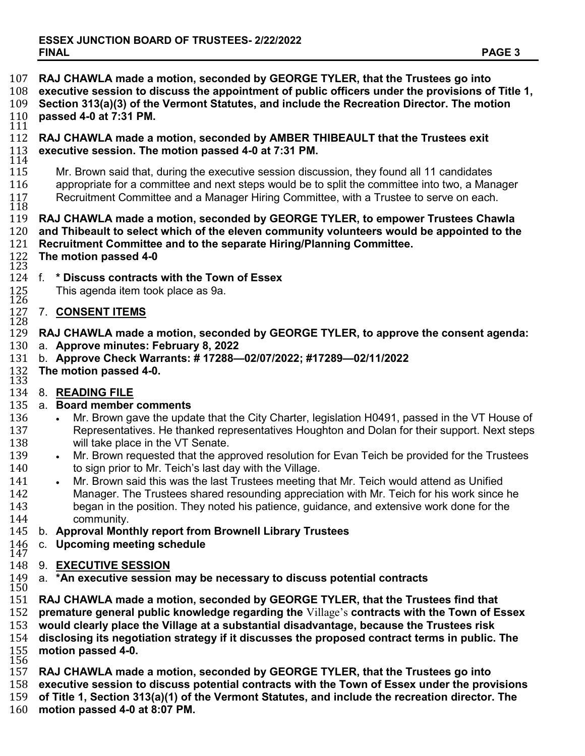| 107<br>108<br>109<br>$\frac{110}{111}$                                                         | RAJ CHAWLA made a motion, seconded by GEORGE TYLER, that the Trustees go into<br>executive session to discuss the appointment of public officers under the provisions of Title 1,<br>Section 313(a)(3) of the Vermont Statutes, and include the Recreation Director. The motion<br>passed 4-0 at 7:31 PM.                                                                                                                                                                                                                                                                                                                                                                                                                                                                                                                                                               |
|------------------------------------------------------------------------------------------------|-------------------------------------------------------------------------------------------------------------------------------------------------------------------------------------------------------------------------------------------------------------------------------------------------------------------------------------------------------------------------------------------------------------------------------------------------------------------------------------------------------------------------------------------------------------------------------------------------------------------------------------------------------------------------------------------------------------------------------------------------------------------------------------------------------------------------------------------------------------------------|
| 112<br>113<br>114                                                                              | RAJ CHAWLA made a motion, seconded by AMBER THIBEAULT that the Trustees exit<br>executive session. The motion passed 4-0 at 7:31 PM.                                                                                                                                                                                                                                                                                                                                                                                                                                                                                                                                                                                                                                                                                                                                    |
| 115<br>116<br>117<br>118                                                                       | Mr. Brown said that, during the executive session discussion, they found all 11 candidates<br>appropriate for a committee and next steps would be to split the committee into two, a Manager<br>Recruitment Committee and a Manager Hiring Committee, with a Trustee to serve on each.                                                                                                                                                                                                                                                                                                                                                                                                                                                                                                                                                                                  |
| 119<br>120<br>121<br>122<br>123                                                                | RAJ CHAWLA made a motion, seconded by GEORGE TYLER, to empower Trustees Chawla<br>and Thibeault to select which of the eleven community volunteers would be appointed to the<br>Recruitment Committee and to the separate Hiring/Planning Committee.<br>The motion passed 4-0                                                                                                                                                                                                                                                                                                                                                                                                                                                                                                                                                                                           |
| 124<br>125<br>126                                                                              | * Discuss contracts with the Town of Essex<br>f.<br>This agenda item took place as 9a.                                                                                                                                                                                                                                                                                                                                                                                                                                                                                                                                                                                                                                                                                                                                                                                  |
| 127<br>128                                                                                     | <b>CONSENT ITEMS</b><br>7.                                                                                                                                                                                                                                                                                                                                                                                                                                                                                                                                                                                                                                                                                                                                                                                                                                              |
| 129<br>130<br>131<br>132<br>133                                                                | RAJ CHAWLA made a motion, seconded by GEORGE TYLER, to approve the consent agenda:<br>a. Approve minutes: February 8, 2022<br>b. Approve Check Warrants: #17288-02/07/2022; #17289-02/11/2022<br>The motion passed 4-0.                                                                                                                                                                                                                                                                                                                                                                                                                                                                                                                                                                                                                                                 |
| 134<br>135<br>136<br>137<br>138<br>139<br>140<br>141<br>142<br>143<br>144<br>145<br>146<br>147 | 8. READING FILE<br>a. Board member comments<br>Mr. Brown gave the update that the City Charter, legislation H0491, passed in the VT House of<br>$\bullet$<br>Representatives. He thanked representatives Houghton and Dolan for their support. Next steps<br>will take place in the VT Senate.<br>Mr. Brown requested that the approved resolution for Evan Teich be provided for the Trustees<br>$\bullet$<br>to sign prior to Mr. Teich's last day with the Village.<br>Mr. Brown said this was the last Trustees meeting that Mr. Teich would attend as Unified<br>Manager. The Trustees shared resounding appreciation with Mr. Teich for his work since he<br>began in the position. They noted his patience, guidance, and extensive work done for the<br>community.<br>b. Approval Monthly report from Brownell Library Trustees<br>c. Upcoming meeting schedule |
| 148<br>149                                                                                     | 9. EXECUTIVE SESSION<br>a. *An executive session may be necessary to discuss potential contracts                                                                                                                                                                                                                                                                                                                                                                                                                                                                                                                                                                                                                                                                                                                                                                        |
| 150<br>151<br>152<br>153<br>154<br>155<br>156<br>157<br>158<br>159<br>160                      | RAJ CHAWLA made a motion, seconded by GEORGE TYLER, that the Trustees find that<br>premature general public knowledge regarding the Village's contracts with the Town of Essex<br>would clearly place the Village at a substantial disadvantage, because the Trustees risk<br>disclosing its negotiation strategy if it discusses the proposed contract terms in public. The<br>motion passed 4-0.<br>RAJ CHAWLA made a motion, seconded by GEORGE TYLER, that the Trustees go into<br>executive session to discuss potential contracts with the Town of Essex under the provisions<br>of Title 1, Section 313(a)(1) of the Vermont Statutes, and include the recreation director. The<br>motion passed 4-0 at 8:07 PM.                                                                                                                                                 |
|                                                                                                |                                                                                                                                                                                                                                                                                                                                                                                                                                                                                                                                                                                                                                                                                                                                                                                                                                                                         |